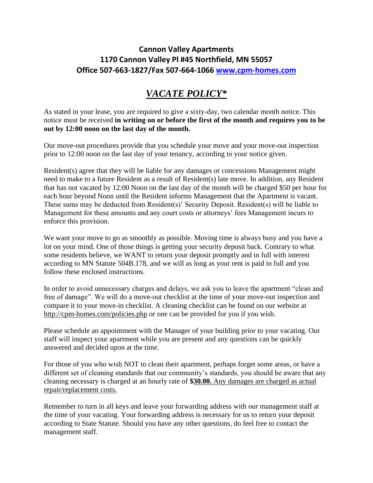## **Cannon Valley Apartments 1170 Cannon Valley Pl #45 Northfield, MN 55057 Office 507-663-1827/Fax 507-664-1066 [www.cpm-homes.com](http://www.cpm-homes.com/)**

## *VACATE POLICY\**

As stated in your lease, you are required to give a sixty-day, two calendar month notice. This notice must be received **in writing on or before the first of the month and requires you to be out by 12:00 noon on the last day of the month.**

Our move-out procedures provide that you schedule your move and your move-out inspection prior to 12:00 noon on the last day of your tenancy, according to your notice given.

Resident(s) agree that they will be liable for any damages or concessions Management might need to make to a future Resident as a result of Resident(s) late move. In addition, any Resident that has not vacated by 12:00 Noon on the last day of the month will be charged \$50 per hour for each hour beyond Noon until the Resident informs Management that the Apartment is vacant. These sums may be deducted from Resident(s)' Security Deposit. Resident(s) will be liable to Management for these amounts and any court costs or attorneys' fees Management incurs to enforce this provision.

We want your move to go as smoothly as possible. Moving time is always busy and you have a lot on your mind. One of those things is getting your security deposit back. Contrary to what some residents believe, we WANT to return your deposit promptly and in full with interest according to MN Statute 504B.178, and we will as long as your rent is paid in full and you follow these enclosed instructions.

In order to avoid unnecessary charges and delays, we ask you to leave the apartment "clean and free of damage". We will do a move-out checklist at the time of your move-out inspection and compare it to your move-in checklist. A cleaning checklist can be found on our website at <http://cpm-homes.com/policies.php> or one can be provided for you if you wish.

Please schedule an appointment with the Manager of your building prior to your vacating. Our staff will inspect your apartment while you are present and any questions can be quickly answered and decided upon at the time.

For those of you who wish NOT to clean their apartment, perhaps forget some areas, or have a different set of cleaning standards that our community's standards, you should be aware that any cleaning necessary is charged at an hourly rate of **\$30.00.** Any damages are charged as actual repair/replacement costs.

Remember to turn in all keys and leave your forwarding address with our management staff at the time of your vacating. Your forwarding address is necessary for us to return your deposit according to State Statute. Should you have any other questions, do feel free to contact the management staff.